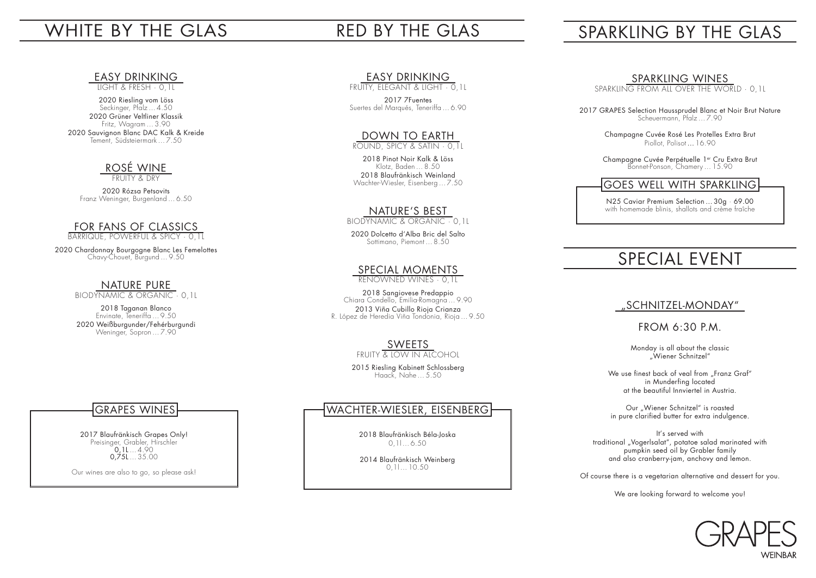# WHITE BY THE GLAS

LIGHT & FRESH · 0,1L

2020 Riesling vom Löss Seckinger, Pfalz … 4.50 2020 Grüner Veltliner Klassik Fritz, Wagram … 3.90 2020 Sauvignon Blanc DAC Kalk & Kreide Tement, Südsteiermark … 7.50

# ROSÉ WINE

FRUITY & DRY

2020 Rózsa Petsovits Franz Weninger, Burgenland … 6.50

#### FOR FANS OF CLASSICS

BARRIQUE, POWERFUL & SPICY · 0,1L

2020 Chardonnay Bourgogne Blanc Les Femelottes Chavy-Chouet, Burgund … 9.50

### NATURE PURE

BIODYNAMIC & ORGANIC · 0,1L

2018 Taganan Blanco Envinate, Teneriffa … 9.50 2020 Weißburgunder/Fehérburgundi Weninger, Sopron … 7.90

### <u>EASY DRINKING</u>

# RED BY THE GLAS

#### <u>EASY DRINKING</u>

FRUITY, ELEGANT & LIGHT · 0,1L

2017 7Fuentes Suertes del Marqués, Teneriffa … 6.90

#### DOWN TO EARTH

ROUND, SPICY & SATIN · 0,1L

2018 Pinot Noir Kalk & Löss Klotz, Baden … 8.50 2018 Blaufränkisch Weinland Wachter-Wiesler, Eisenberg … 7.50

#### NATURE'S BEST

BIODYNAMIC & ORGANIC · 0,1L

We use finest back of veal from "Franz Graf" in Munderfing located at the beautiful Innviertel in Austria.

2020 Dolcetto d'Alba Bric del Salto Sottimano, Piemont … 8.50

#### <u>SPECIAL MOMENTS</u>

Our "Wiener Schnitzel" is roasted in pure clarified butter for extra indulgence.

RENOWNED WINES · 0,1L

2018 Sangiovese Predappio Chiara Condello, Emilia-Romagna … 9.90 2013 Viña Cubillo Rioja Crianza R. López de Heredia Viña Tondonia, Rioja … 9.50

# <u>SWEETS</u>

FRUITY & LOW IN ALCOHOL

2015 Riesling Kabinett Schlossberg Haack, Nahe … 5.50

# SPARKLING BY THE GLAS

### <u>SPARKLING WINES</u>

SPARKLING FROM ALL OVER THE WORLD · 0,1L

2017 GRAPES Selection Haussprudel Blanc et Noir Brut Nature Scheuermann, Pfalz … 7.90

Champagne Cuvée Rosé Les Protelles Extra Brut Piollot, Polisot … 16.90

Champagne Cuvée Perpétuelle 1er Cru Extra Brut Bonnet-Ponson, Chamery … 15.90

N25 Caviar Premium Selection … 30g · 69.00 with homemade blinis, shallots and crème fraîche

# SPECIAL EVENT

#### "SCHNITZEL-MONDAY"

#### FROM 6:30 P.M.

Monday is all about the classic "Wiener Schnitzel"

It's served with traditional "Vogerlsalat", potatoe salad marinated with pumpkin seed oil by Grabler family and also cranberry-jam, anchovy and lemon.

Of course there is a vegetarian alternative and dessert for you.

We are looking forward to welcome you!



2017 Blaufränkisch Grapes Only! Preisinger, Grabler, Hirschler 0,1L … 4.90 0,75L … 35.00

Our wines are also to go, so please ask!

# GRAPES WINES

2018 Blaufränkisch Béla-Joska 0,1l … 6.50

2014 Blaufränkisch Weinberg 0,1l … 10.50

#### WACHTER-WIESLER, EISENBERG

### GOES WELL WITH SPARKLING